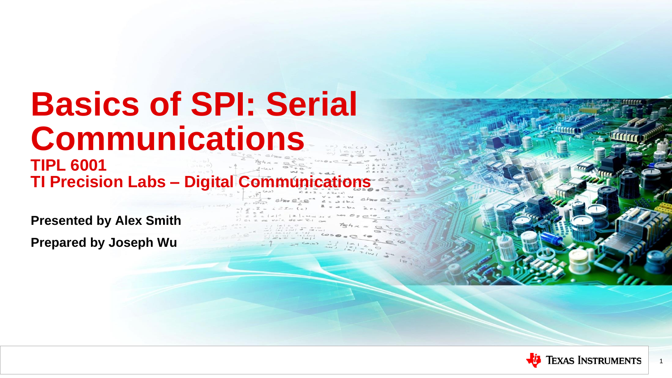### **Basics of SPI: Serial Communications TIPL 6001 TI Precision Labs - Digital Communications**

**Presented by Alex Smith Prepared by Joseph Wu**



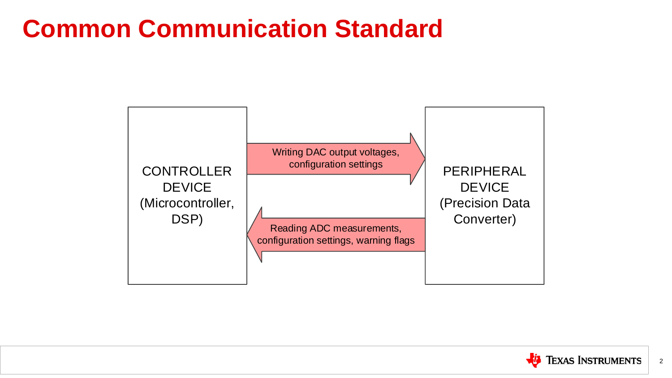## **Common Communication Standard**





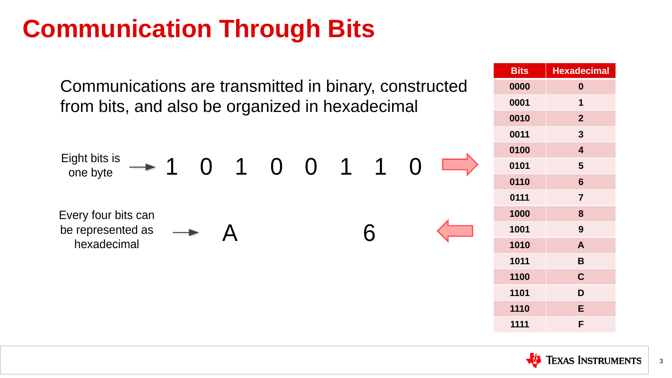## **Communication Through Bits**

| <b>Bits</b> | <b>Hexadecimal</b>      |
|-------------|-------------------------|
| 0000        | $\boldsymbol{0}$        |
| 0001        | 1                       |
| 0010        | $\overline{2}$          |
| 0011        | 3                       |
| 0100        | $\overline{\mathbf{4}}$ |
| 0101        | 5                       |
| 0110        | 6                       |
| 0111        | $\overline{7}$          |
| 1000        | 8                       |
| 1001        | 9                       |
| 1010        | A                       |
| 1011        | B                       |
| 1100        | $\overline{C}$          |
| 1101        | D                       |
| 1110        | E                       |
| 1111        | F                       |





Communications are transmitted in binary, constructed from bits, and also be organized in hexadecimal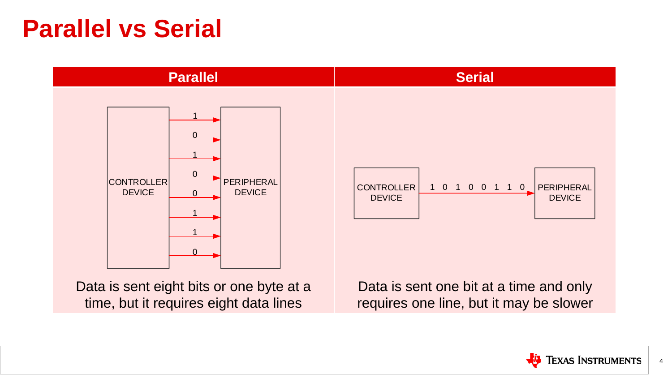



### **Parallel vs Serial**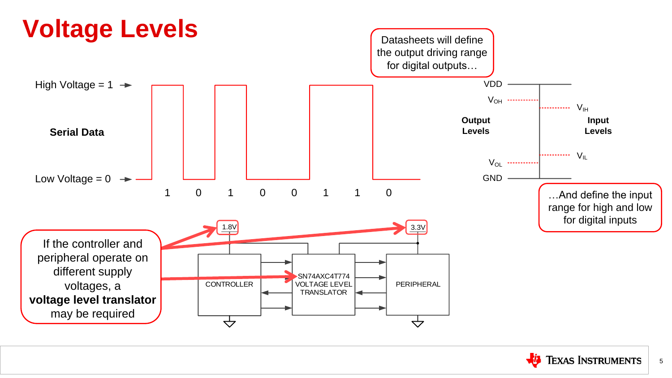

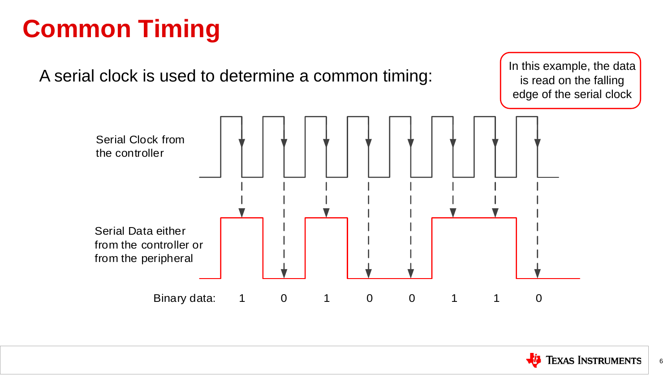## **Common Timing**

A serial clock is used to determine a common timing:



### In this example, the data is read on the falling edge of the serial clock

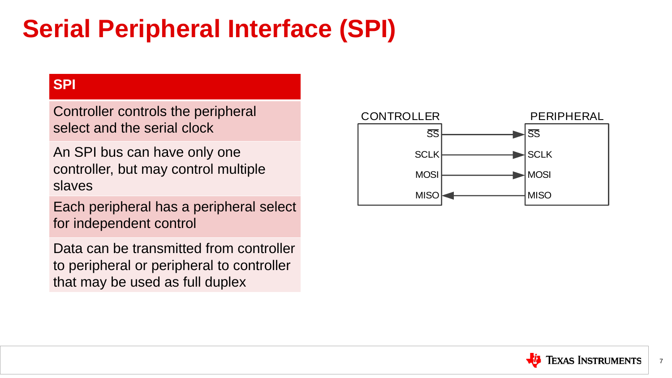## **Serial Peripheral Interface (SPI)**

### **SPI**

Controller controls the peripheral select and the serial clock

An SPI bus can have only one controller, but may control multiple slaves

Each peripheral has a peripheral select for independent control

Data can be transmitted from controller to peripheral or peripheral to controller that may be used as full duplex

SS

 $\blacktriangleright$ SCLK

 $\blacksquare$ MOSI

**MISO** 



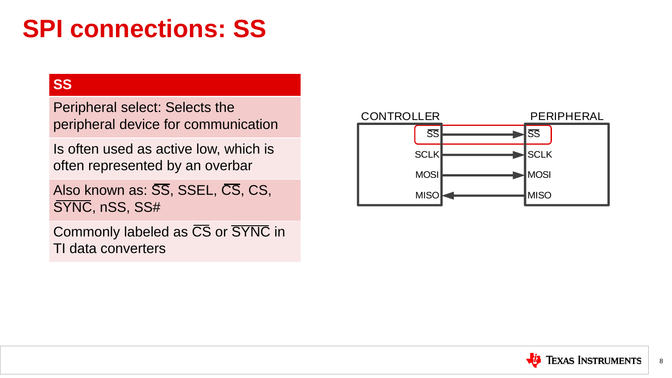## **SPI connections: SS**

### **SS**

Peripheral select: Selects the peripheral device for communication

Also known as:  $\overline{SS}$ , SSEL,  $\overline{CS}$ , CS, SYNC, nSS, SS#

Is often used as active low, which is often represented by an overbar

### SS **SCLK MOSI MISO**



Commonly labeled as CS or SYNC in TI data converters

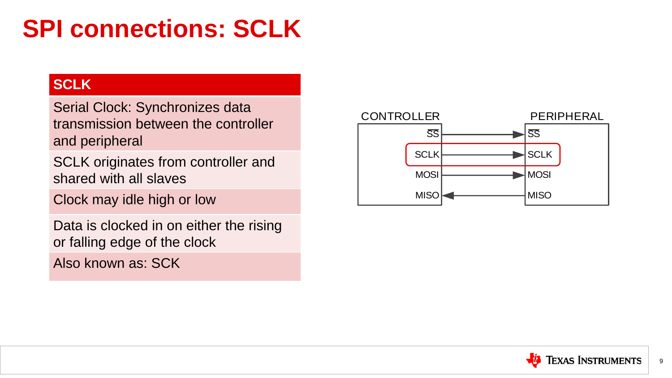## **SPI connections: SCLK**

### **SCLK**

Serial Clock: Synchronizes data transmission between the controller and peripheral

SCLK originates from controller and shared with all slaves

### SS  $\blacktriangleright$ SCLK MOSI

**MISO** 



Clock may idle high or low

Data is clocked in on either the rising or falling edge of the clock

Also known as: SCK

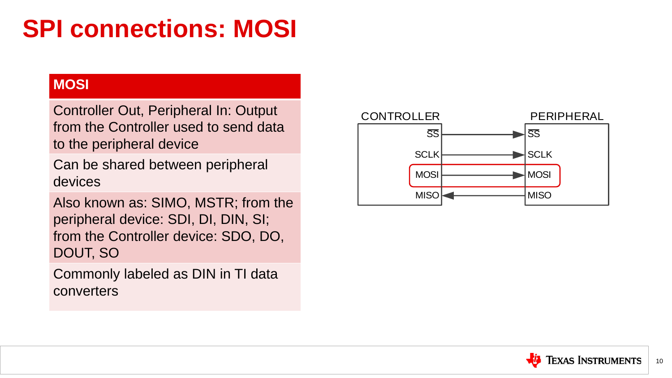## **SPI connections: MOSI**

### **MOSI**

Controller Out, Peripheral In: Output from the Controller used to send data to the peripheral device

Can be shared between peripheral devices

Also known as: SIMO, MSTR; from the peripheral device: SDI, DI, DIN, SI; from the Controller device: SDO, DO, DOUT, SO

Commonly labeled as DIN in TI data converters

## SS

 $\blacktriangleright$ SCLK

**MOSI** 

**MISO** 



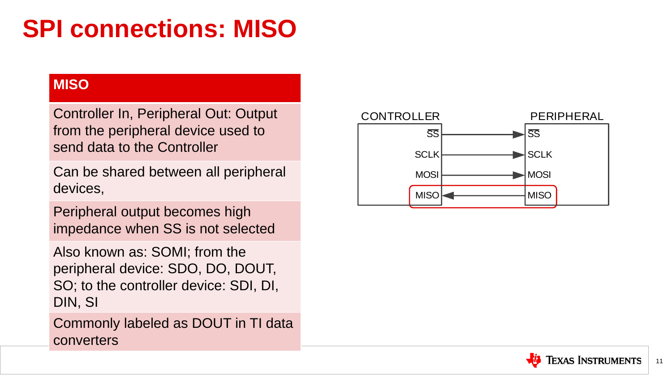## **SPI connections: MISO**

### **MISO**

Controller In, Peripheral Out: Output from the peripheral device used to send data to the Controller

Can be shared between all peripheral devices,

Peripheral output becomes high impedance when SS is not selected

### SS  $\blacktriangleright$ SCLK **MOSI MISO**



Also known as: SOMI; from the peripheral device: SDO, DO, DOUT, SO; to the controller device: SDI, DI, DIN, SI

Commonly labeled as DOUT in TI data

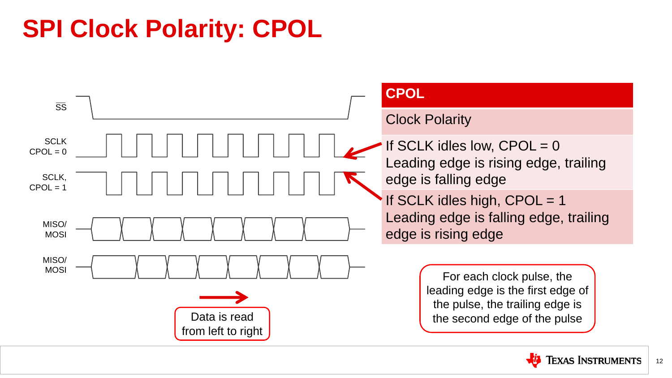## **SPI Clock Polarity: CPOL**



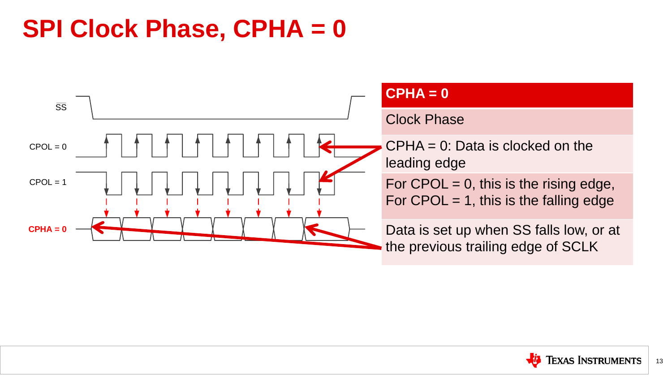### **SPI Clock Phase, CPHA = 0**



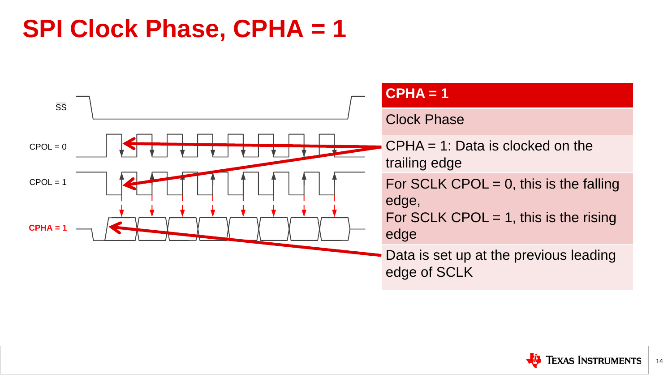### **SPI Clock Phase, CPHA = 1**



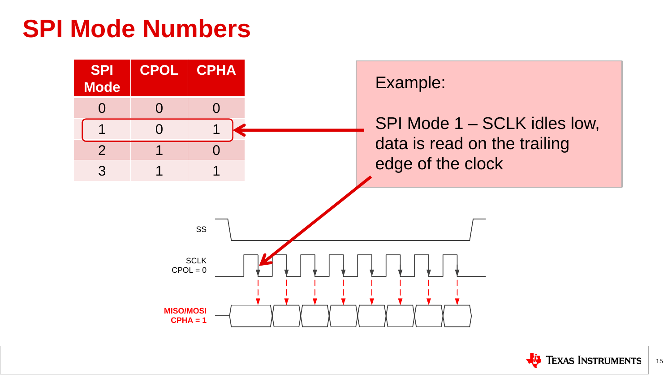### **SPI Mode Numbers**



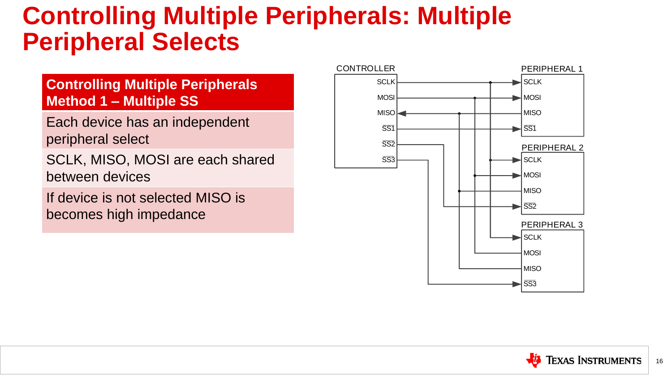- $\blacktriangleright$ SCLK
	- **MOSI**
	- MISO
	-





### PERIPHERAL 2

- $\blacktriangleright$ SCLK
- $\blacktriangleright$  MOSI
	- **MISO**
	-
- $\blacktriangleright$ SCLK
- $\blacksquare$ MOSI
	- **MISO**
	-

### PERIPHERAL 3

### **Controlling Multiple Peripherals: Multiple Peripheral Selects**

### **Controlling Multiple Peripherals Method 1 – Multiple SS**

Each device has an independent peripheral select

SCLK, MISO, MOSI are each shared between devices

If device is not selected MISO is becomes high impedance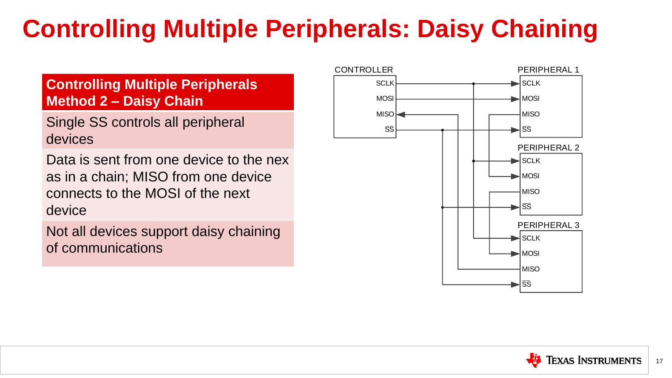- $\blacktriangleright$ SCLK
- $\overline{\phantom{a}}$ MOSI
- MISO
- 





- **SCLK**
- $\blacksquare$ MOSI
- MISO
- lss.

### PERIPHERAL 2

### PERIPHERAL 3

- $\blacktriangleleft$  SCLK
- $\blacksquare$ MOSI
- **MISO**
- 



## **Controlling Multiple Peripherals: Daisy Chaining**

### **Controlling Multiple Peripherals Method 2 – Daisy Chain**

Single SS controls all peripheral devices

Data is sent from one device to the nex as in a chain; MISO from one device connects to the MOSI of the next device

Not all devices support daisy chaining of communications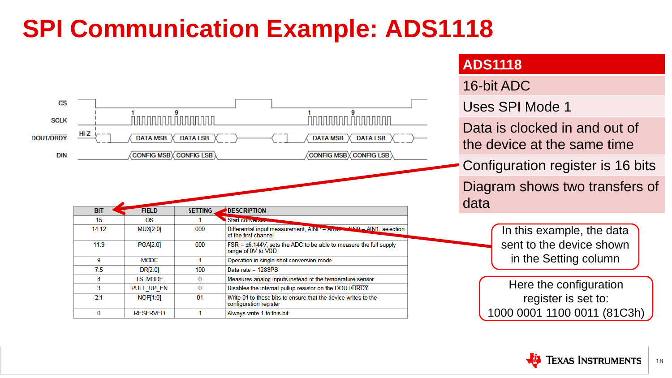## **SPI Communication Example: ADS1118**

### Data is clocked in and out of the device at the same time Configuration register is 16 bits



Diagram shows two transfers of

In this example, the data sent to the device shown in the Setting column

Here the configuration register is set to: 1000 0001 1100 0011 (81C3h)

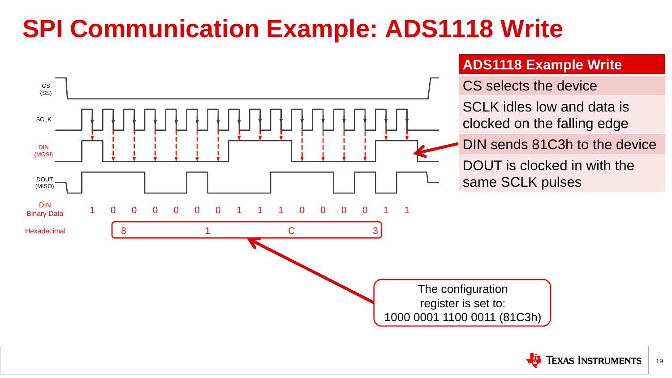## **SPI Communication Example: ADS1118 Write**

### **ADS1118 Example Write**

- SCLK idles low and data is
- clocked on the falling edge





### DIN sends 81C3h to the device

## DOUT is clocked in with the

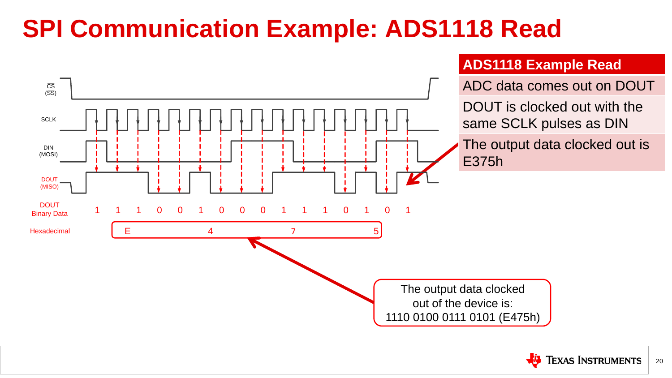## **SPI Communication Example: ADS1118 Read**

### **ADS1118 Example Read**

### ADC data comes out on DOUT

### DOUT is clocked out with the same SCLK pulses as DIN





### The output data clocked out is



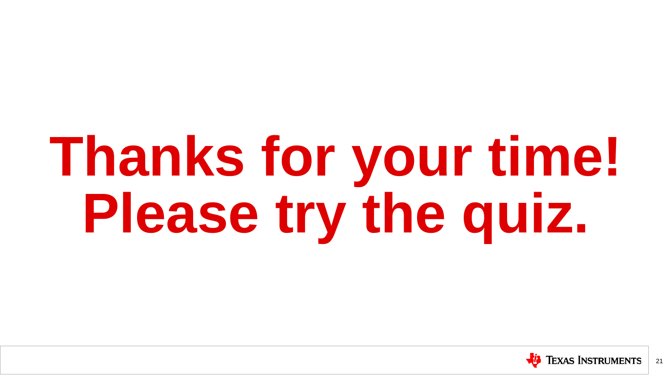# **Thanks for your time! Please try the quiz.**

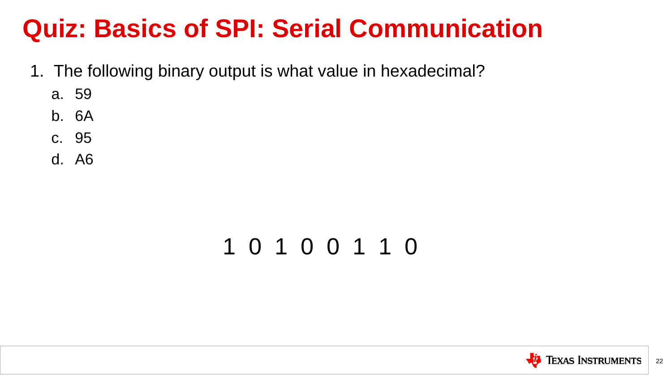- 1. The following binary output is what value in hexadecimal?
	- a. 59
	- b. 6A
	- c. 95
	- d. A6

### 1 0 1 0 0 1 1 0



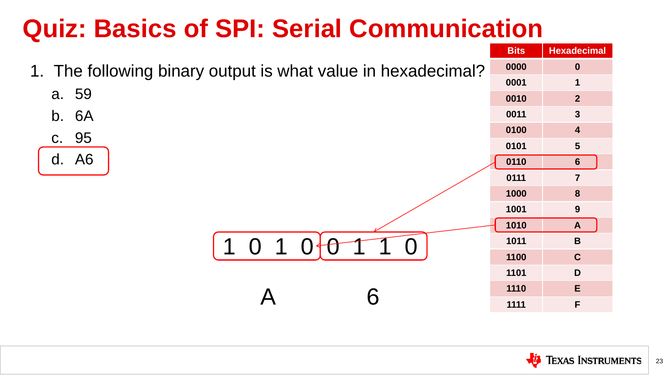1. The following binary output is what value in hexadecimal? **0 1**

| <b>Bits</b> | <b>Hexadecimal</b>      |
|-------------|-------------------------|
| 0000        | $\boldsymbol{0}$        |
| 0001        | 1                       |
| 0010        | $\overline{2}$          |
| 0011        | 3                       |
| 0100        | 4                       |
| 0101        | 5                       |
| 0110        | 6                       |
| 0111        | $\overline{7}$          |
| 1000        | 8                       |
| 1001        | 9                       |
| 1010        | $\overline{\mathsf{A}}$ |
| 1011        | B                       |
| 1100        | $\mathbf C$             |
| 1101        | D                       |
| 1110        | E                       |
| 1111        | F                       |



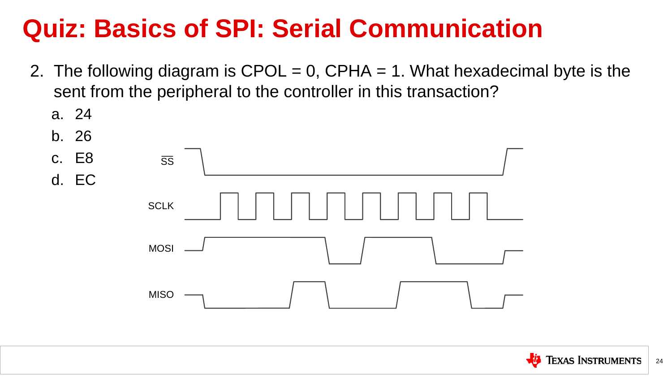- 2. The following diagram is  $\text{CPOL} = 0$ ,  $\text{CPHA} = 1$ . What hexadecimal byte is the sent from the peripheral to the controller in this transaction?
	- a. 24





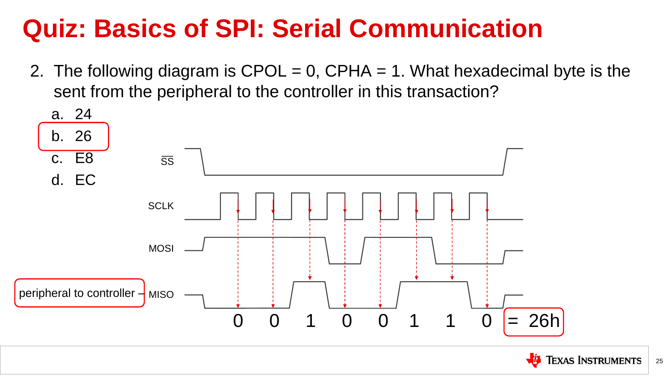2. The following diagram is  $\text{CPOL} = 0$ ,  $\text{CPHA} = 1$ . What hexadecimal byte is the sent from the peripheral to the controller in this transaction?





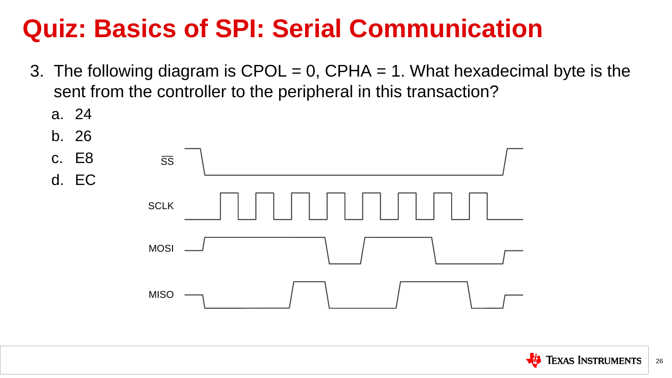- 3. The following diagram is  $\text{CPOL} = 0$ ,  $\text{CPHA} = 1$ . What hexadecimal byte is the sent from the controller to the peripheral in this transaction?
	- a. 24





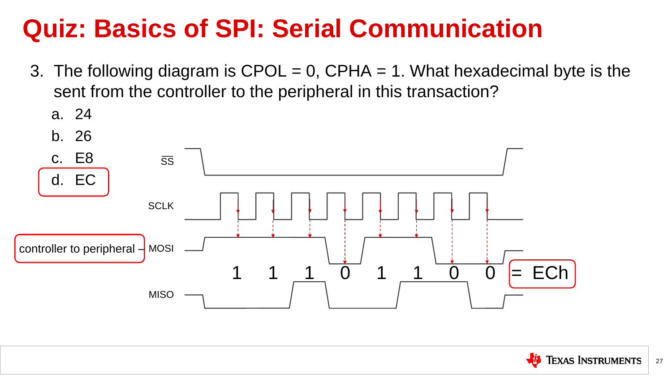- 3. The following diagram is  $\text{CPOL} = 0$ ,  $\text{CPHA} = 1$ . What hexadecimal byte is the sent from the controller to the peripheral in this transaction?
	- a. 24







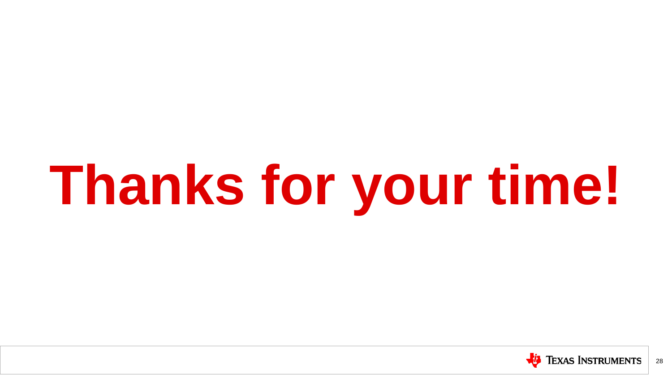# **Thanks for your time!**



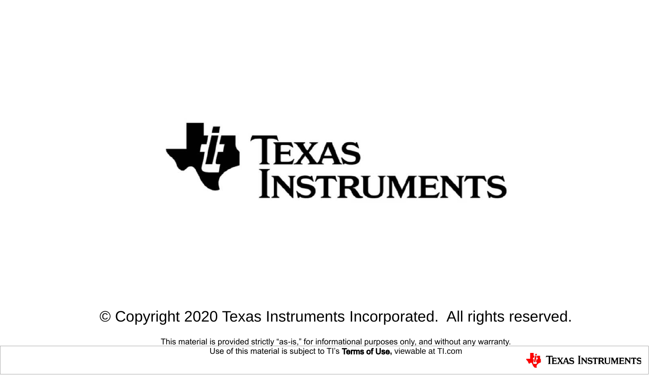

### © Copyright 2020 Texas Instruments Incorporated. All rights reserved.

This material is provided strictly "as-is," for informational purposes only, and without any warranty. Use of this material is subject to TI's **Terms of Use**, viewable at TI.com

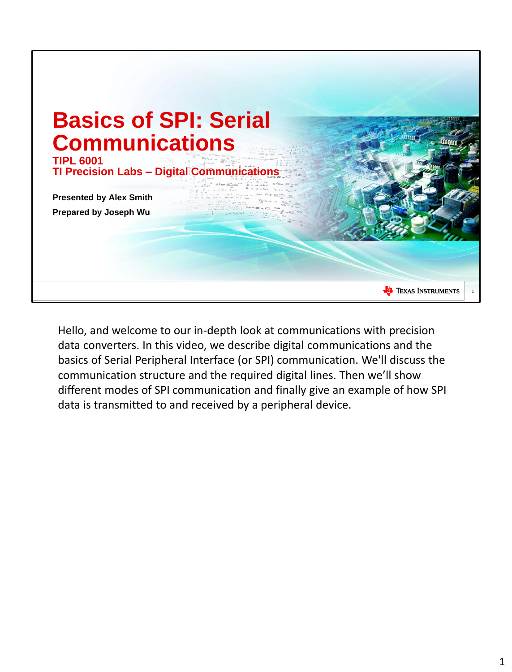

Hello, and welcome to our in-depth look at communications with precision data converters. In this video, we describe digital communications and the basics of Serial Peripheral Interface (or SPI) communication. We'll discuss the communication structure and the required digital lines. Then we'll show different modes of SPI communication and finally give an example of how SPI data is transmitted to and received by a peripheral device.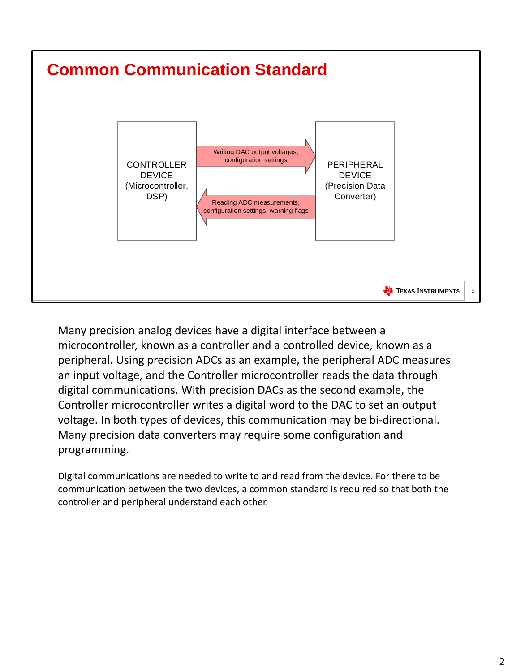

Many precision analog devices have a digital interface between a microcontroller, known as a controller and a controlled device, known as a peripheral. Using precision ADCs as an example, the peripheral ADC measures an input voltage, and the Controller microcontroller reads the data through digital communications. With precision DACs as the second example, the Controller microcontroller writes a digital word to the DAC to set an output voltage. In both types of devices, this communication may be bi-directional. Many precision data converters may require some configuration and programming.

Digital communications are needed to write to and read from the device. For there to be communication between the two devices, a common standard is required so that both the controller and peripheral understand each other.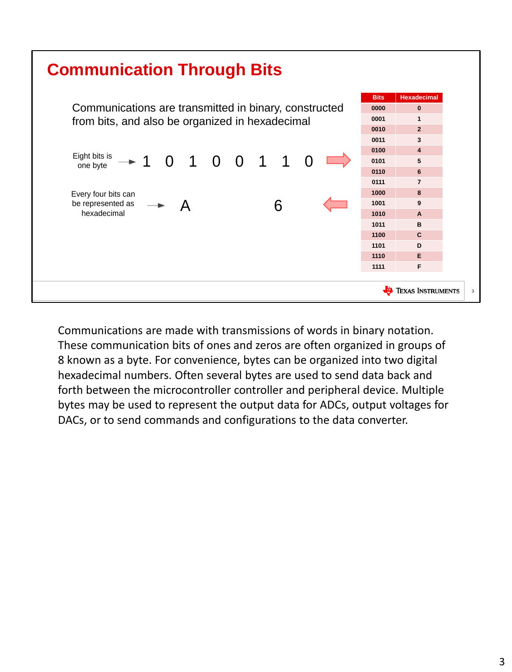

Communications are made with transmissions of words in binary notation. These communication bits of ones and zeros are often organized in groups of 8 known as a byte. For convenience, bytes can be organized into two digital hexadecimal numbers. Often several bytes are used to send data back and forth between the microcontroller controller and peripheral device. Multiple bytes may be used to represent the output data for ADCs, output voltages for DACs, or to send commands and configurations to the data converter.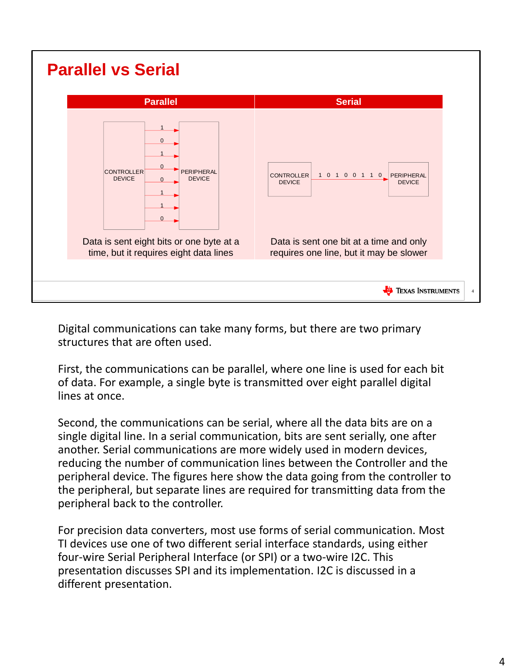

Digital communications can take many forms, but there are two primary structures that are often used.

First, the communications can be parallel, where one line is used for each bit of data. For example, a single byte is transmitted over eight parallel digital lines at once.

Second, the communications can be serial, where all the data bits are on a single digital line. In a serial communication, bits are sent serially, one after another. Serial communications are more widely used in modern devices, reducing the number of communication lines between the Controller and the peripheral device. The figures here show the data going from the controller to the peripheral, but separate lines are required for transmitting data from the peripheral back to the controller.

For precision data converters, most use forms of serial communication. Most TI devices use one of two different serial interface standards, using either four-wire Serial Peripheral Interface (or SPI) or a two-wire I2C. This presentation discusses SPI and its implementation. I2C is discussed in a different presentation.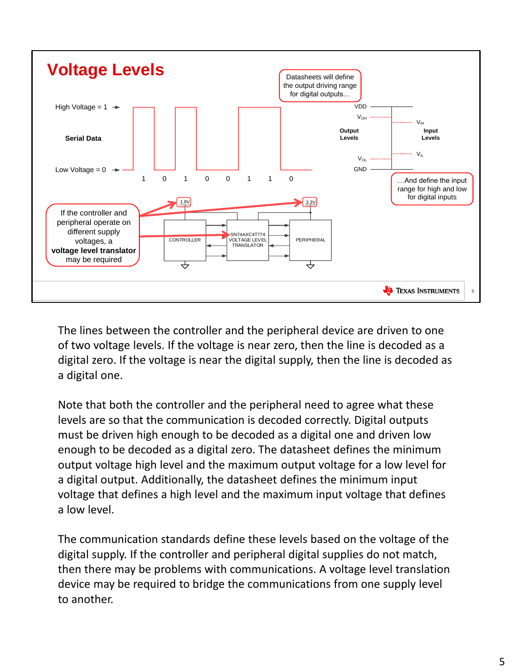

The lines between the controller and the peripheral device are driven to one of two voltage levels. If the voltage is near zero, then the line is decoded as a digital zero. If the voltage is near the digital supply, then the line is decoded as a digital one.

Note that both the controller and the peripheral need to agree what these levels are so that the communication is decoded correctly. Digital outputs must be driven high enough to be decoded as a digital one and driven low enough to be decoded as a digital zero. The datasheet defines the minimum output voltage high level and the maximum output voltage for a low level for a digital output. Additionally, the datasheet defines the minimum input voltage that defines a high level and the maximum input voltage that defines a low level.

The communication standards define these levels based on the voltage of the digital supply. If the controller and peripheral digital supplies do not match, then there may be problems with communications. A voltage level translation device may be required to bridge the communications from one supply level to another.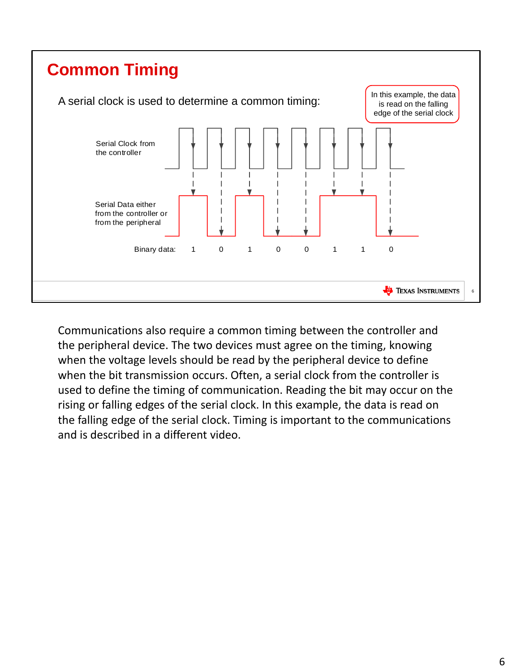

Communications also require a common timing between the controller and the peripheral device. The two devices must agree on the timing, knowing when the voltage levels should be read by the peripheral device to define when the bit transmission occurs. Often, a serial clock from the controller is used to define the timing of communication. Reading the bit may occur on the rising or falling edges of the serial clock. In this example, the data is read on the falling edge of the serial clock. Timing is important to the communications and is described in a different video.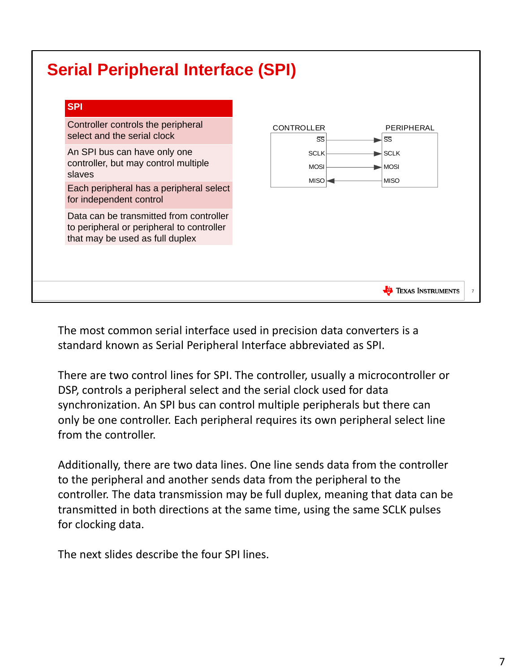### **Serial Peripheral Interface (SPI)**

| Controller controls the peripheral<br>select and the serial clock                                                       | <b>CONTROLLER</b><br>SS    | PERIPHERAL<br>SS                                         |
|-------------------------------------------------------------------------------------------------------------------------|----------------------------|----------------------------------------------------------|
| An SPI bus can have only one<br>controller, but may control multiple<br>slaves                                          | <b>SCLK</b><br><b>MOSI</b> | $\blacktriangleright$ SCLK<br>$\blacktriangleright$ MOSI |
| Each peripheral has a peripheral select<br>for independent control                                                      | $MISO \rightleftharpoons$  | <b>MISO</b>                                              |
| Data can be transmitted from controller<br>to peripheral or peripheral to controller<br>that may be used as full duplex |                            |                                                          |
|                                                                                                                         |                            |                                                          |

The most common serial interface used in precision data converters is a standard known as Serial Peripheral Interface abbreviated as SPI.

There are two control lines for SPI. The controller, usually a microcontroller or DSP, controls a peripheral select and the serial clock used for data synchronization. An SPI bus can control multiple peripherals but there can only be one controller. Each peripheral requires its own peripheral select line from the controller.

Additionally, there are two data lines. One line sends data from the controller to the peripheral and another sends data from the peripheral to the controller. The data transmission may be full duplex, meaning that data can be transmitted in both directions at the same time, using the same SCLK pulses for clocking data.

The next slides describe the four SPI lines.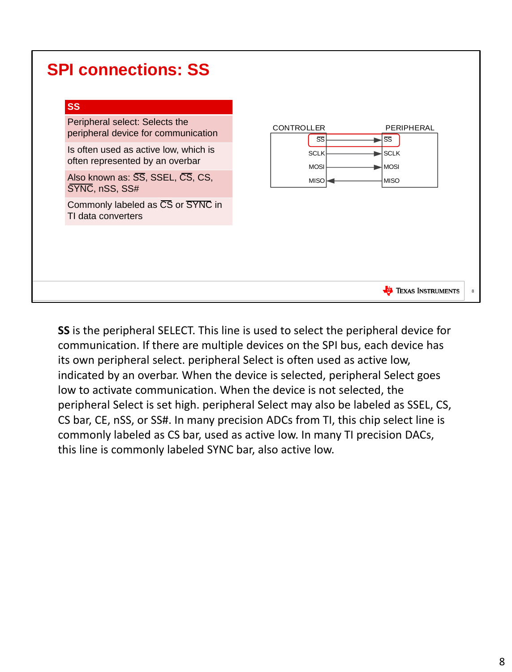| <b>SPI connections: SS</b>                                               |                                                                                        |   |
|--------------------------------------------------------------------------|----------------------------------------------------------------------------------------|---|
| <b>SS</b>                                                                |                                                                                        |   |
| Peripheral select: Selects the<br>peripheral device for communication    | CONTROLLER<br>PERIPHERAL<br>SS<br>SS                                                   |   |
| Is often used as active low, which is<br>often represented by an overbar | <b>SCLK</b><br>$\blacktriangleright$ SCLK<br>$\blacktriangleright$ MOSI<br><b>MOSI</b> |   |
| Also known as: SS, SSEL, CS, CS,<br>SYNC, nSS, SS#                       | <b>MISO</b><br>MISO-                                                                   |   |
| Commonly labeled as CS or SYNC in<br>TI data converters                  |                                                                                        |   |
|                                                                          |                                                                                        |   |
|                                                                          |                                                                                        |   |
|                                                                          | <b>TEXAS INSTRUMENTS</b>                                                               | 8 |

**SS** is the peripheral SELECT. This line is used to select the peripheral device for communication. If there are multiple devices on the SPI bus, each device has its own peripheral select. peripheral Select is often used as active low, indicated by an overbar. When the device is selected, peripheral Select goes low to activate communication. When the device is not selected, the peripheral Select is set high. peripheral Select may also be labeled as SSEL, CS, CS bar, CE, nSS, or SS#. In many precision ADCs from TI, this chip select line is commonly labeled as CS bar, used as active low. In many TI precision DACs, this line is commonly labeled SYNC bar, also active low.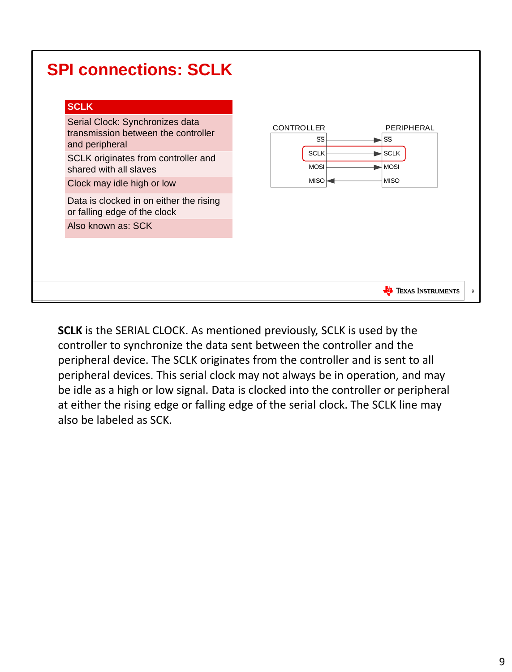|--|

**SCLK** is the SERIAL CLOCK. As mentioned previously, SCLK is used by the controller to synchronize the data sent between the controller and the peripheral device. The SCLK originates from the controller and is sent to all peripheral devices. This serial clock may not always be in operation, and may be idle as a high or low signal. Data is clocked into the controller or peripheral at either the rising edge or falling edge of the serial clock. The SCLK line may also be labeled as SCK.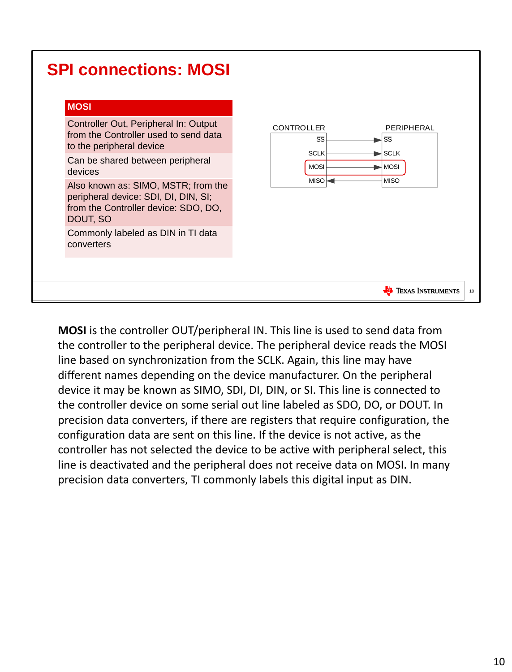| <b>SPI connections: MOSI</b><br><b>MOSI</b><br>Controller Out, Peripheral In: Output<br>from the Controller used to send data<br>to the peripheral device<br>Can be shared between peripheral<br>devices<br>Also known as: SIMO, MSTR; from the<br>peripheral device: SDI, DI, DIN, SI;<br>from the Controller device: SDO, DO,<br>DOUT, SO<br>Commonly labeled as DIN in TI data<br>converters | <b>CONTROLLER</b><br>PERIPHERAL<br>SS<br>SS<br>$\blacktriangleright$ SCLK<br><b>SCLK</b><br><b>MOSI</b><br>$\blacktriangleright$ MOSI<br><b>MISO</b><br>MISO |    |
|-------------------------------------------------------------------------------------------------------------------------------------------------------------------------------------------------------------------------------------------------------------------------------------------------------------------------------------------------------------------------------------------------|--------------------------------------------------------------------------------------------------------------------------------------------------------------|----|
|                                                                                                                                                                                                                                                                                                                                                                                                 | <b>Texas Instruments</b>                                                                                                                                     | 10 |

**MOSI** is the controller OUT/peripheral IN. This line is used to send data from the controller to the peripheral device. The peripheral device reads the MOSI line based on synchronization from the SCLK. Again, this line may have different names depending on the device manufacturer. On the peripheral device it may be known as SIMO, SDI, DI, DIN, or SI. This line is connected to the controller device on some serial out line labeled as SDO, DO, or DOUT. In precision data converters, if there are registers that require configuration, the configuration data are sent on this line. If the device is not active, as the controller has not selected the device to be active with peripheral select, this line is deactivated and the peripheral does not receive data on MOSI. In many precision data converters, TI commonly labels this digital input as DIN.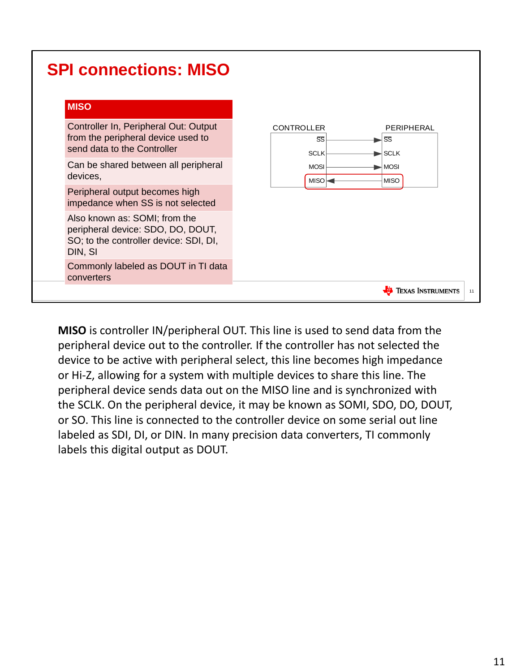| <b>SPI connections: MISO</b> |
|------------------------------|
|------------------------------|

| М<br>ш |  |  |
|--------|--|--|
|        |  |  |

Controller In, Peripheral Out: Output from the peripheral device used to send data to the Controller

Can be shared between all peripheral devices,

Peripheral output becomes high impedance when SS is not selected

Also known as: SOMI; from the peripheral device: SDO, DO, DOUT, SO; to the controller device: SDI, DI, DIN, SI

Commonly labeled as DOUT in TI data converters



**MISO** is controller IN/peripheral OUT. This line is used to send data from the peripheral device out to the controller. If the controller has not selected the device to be active with peripheral select, this line becomes high impedance or Hi-Z, allowing for a system with multiple devices to share this line. The peripheral device sends data out on the MISO line and is synchronized with the SCLK. On the peripheral device, it may be known as SOMI, SDO, DO, DOUT, or SO. This line is connected to the controller device on some serial out line labeled as SDI, DI, or DIN. In many precision data converters, TI commonly labels this digital output as DOUT.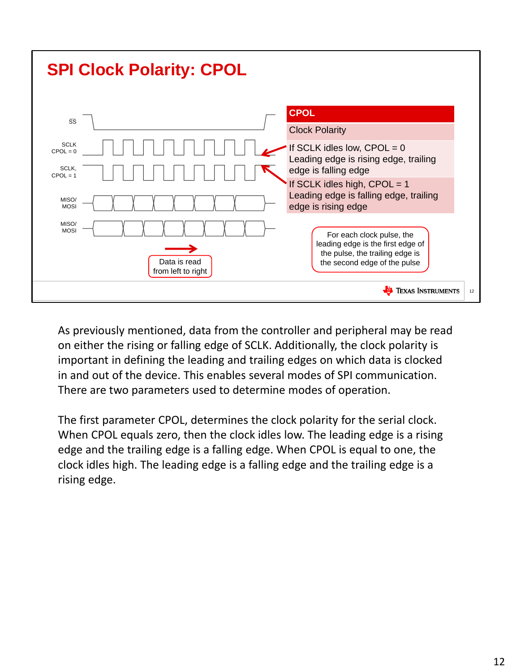

As previously mentioned, data from the controller and peripheral may be read on either the rising or falling edge of SCLK. Additionally, the clock polarity is important in defining the leading and trailing edges on which data is clocked in and out of the device. This enables several modes of SPI communication. There are two parameters used to determine modes of operation.

The first parameter CPOL, determines the clock polarity for the serial clock. When CPOL equals zero, then the clock idles low. The leading edge is a rising edge and the trailing edge is a falling edge. When CPOL is equal to one, the clock idles high. The leading edge is a falling edge and the trailing edge is a rising edge.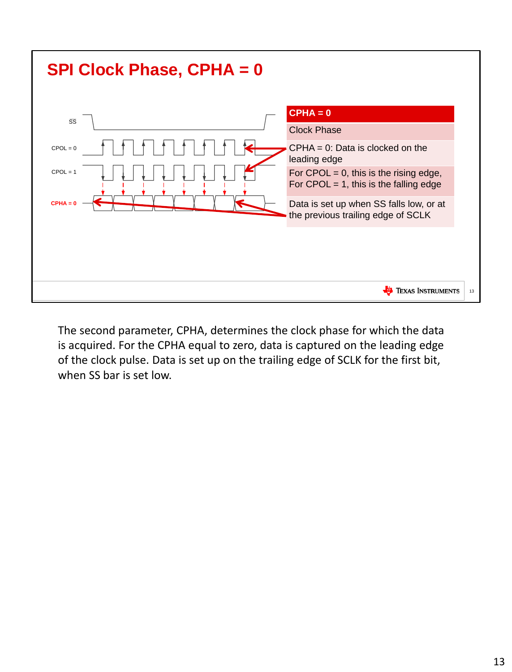

The second parameter, CPHA, determines the clock phase for which the data is acquired. For the CPHA equal to zero, data is captured on the leading edge of the clock pulse. Data is set up on the trailing edge of SCLK for the first bit, when SS bar is set low.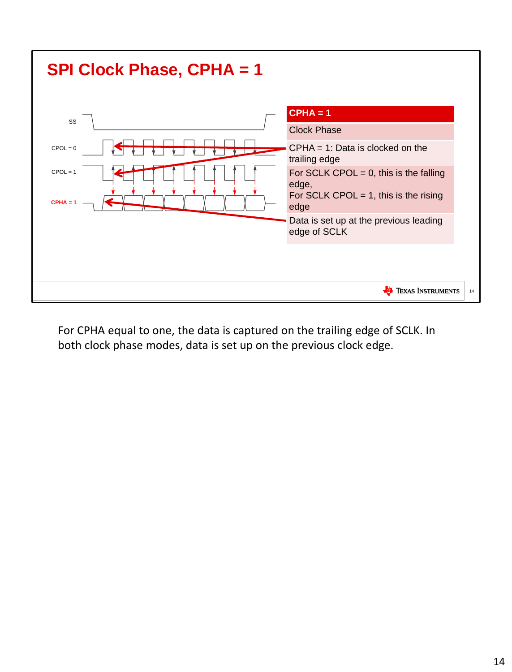

For CPHA equal to one, the data is captured on the trailing edge of SCLK. In both clock phase modes, data is set up on the previous clock edge.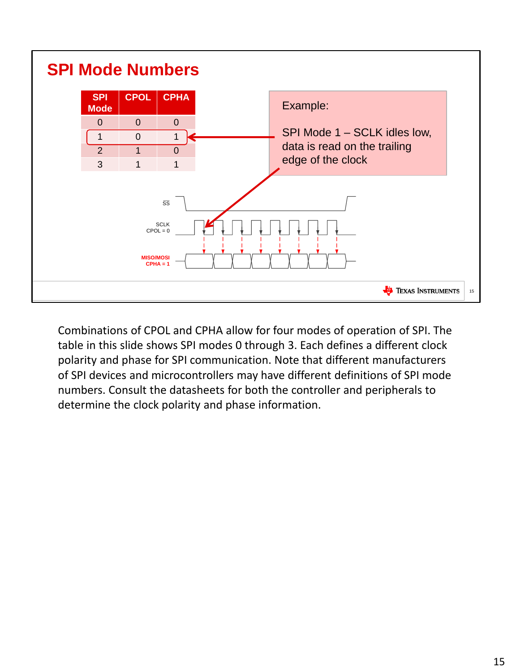

Combinations of CPOL and CPHA allow for four modes of operation of SPI. The table in this slide shows SPI modes 0 through 3. Each defines a different clock polarity and phase for SPI communication. Note that different manufacturers of SPI devices and microcontrollers may have different definitions of SPI mode numbers. Consult the datasheets for both the controller and peripherals to determine the clock polarity and phase information.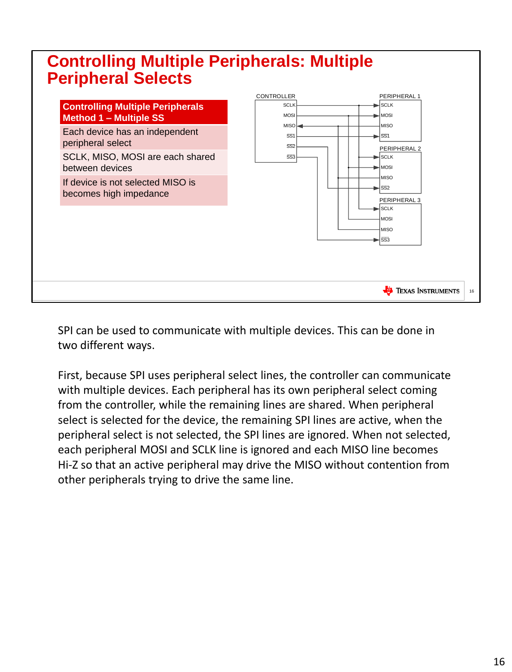### **Controlling Multiple Peripherals: Multiple Peripheral Selects**



SPI can be used to communicate with multiple devices. This can be done in two different ways.

First, because SPI uses peripheral select lines, the controller can communicate with multiple devices. Each peripheral has its own peripheral select coming from the controller, while the remaining lines are shared. When peripheral select is selected for the device, the remaining SPI lines are active, when the peripheral select is not selected, the SPI lines are ignored. When not selected, each peripheral MOSI and SCLK line is ignored and each MISO line becomes Hi-Z so that an active peripheral may drive the MISO without contention from other peripherals trying to drive the same line.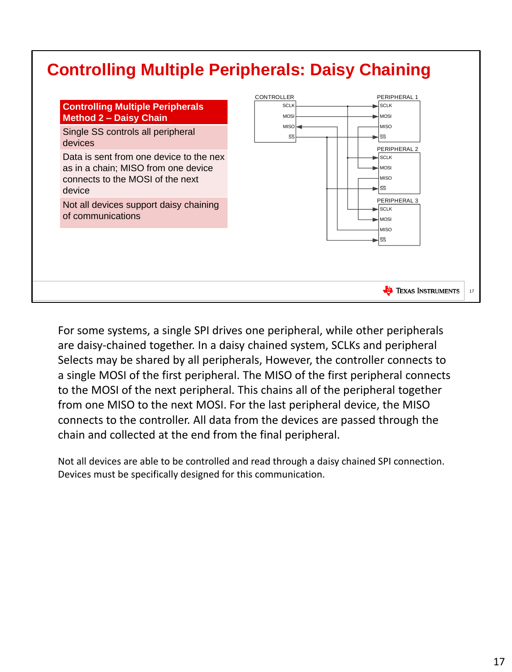### **Controlling Multiple Peripherals: Daisy Chaining**



For some systems, a single SPI drives one peripheral, while other peripherals are daisy-chained together. In a daisy chained system, SCLKs and peripheral Selects may be shared by all peripherals, However, the controller connects to a single MOSI of the first peripheral. The MISO of the first peripheral connects to the MOSI of the next peripheral. This chains all of the peripheral together from one MISO to the next MOSI. For the last peripheral device, the MISO connects to the controller. All data from the devices are passed through the chain and collected at the end from the final peripheral.

Not all devices are able to be controlled and read through a daisy chained SPI connection. Devices must be specifically designed for this communication.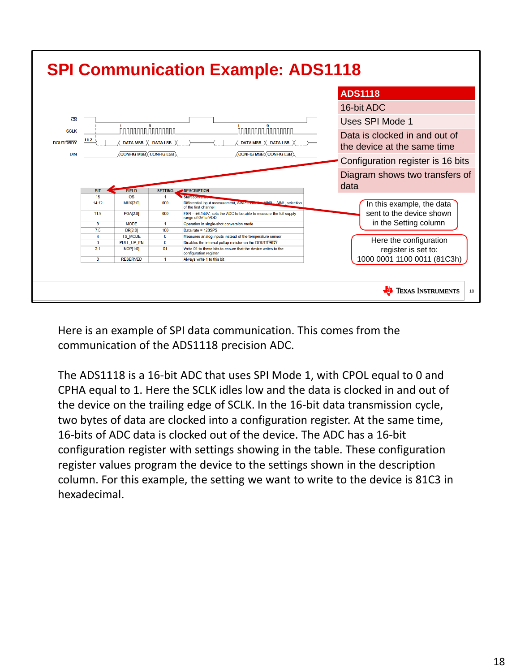

Here is an example of SPI data communication. This comes from the communication of the ADS1118 precision ADC.

The ADS1118 is a 16-bit ADC that uses SPI Mode 1, with CPOL equal to 0 and CPHA equal to 1. Here the SCLK idles low and the data is clocked in and out of the device on the trailing edge of SCLK. In the 16-bit data transmission cycle, two bytes of data are clocked into a configuration register. At the same time, 16-bits of ADC data is clocked out of the device. The ADC has a 16-bit configuration register with settings showing in the table. These configuration register values program the device to the settings shown in the description column. For this example, the setting we want to write to the device is 81C3 in hexadecimal.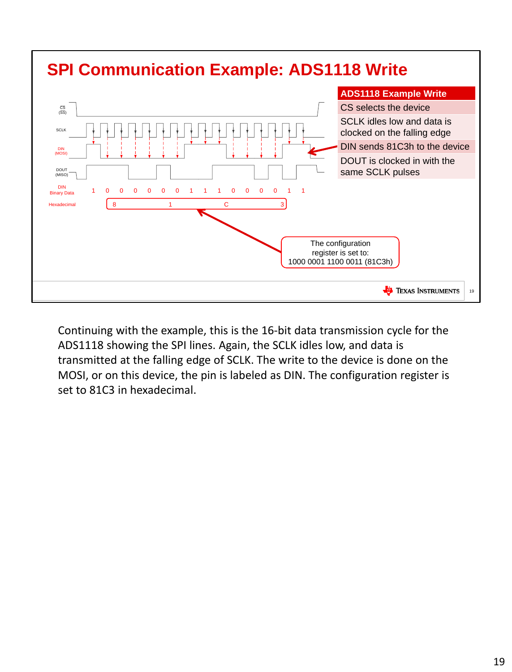

Continuing with the example, this is the 16-bit data transmission cycle for the ADS1118 showing the SPI lines. Again, the SCLK idles low, and data is transmitted at the falling edge of SCLK. The write to the device is done on the MOSI, or on this device, the pin is labeled as DIN. The configuration register is set to 81C3 in hexadecimal.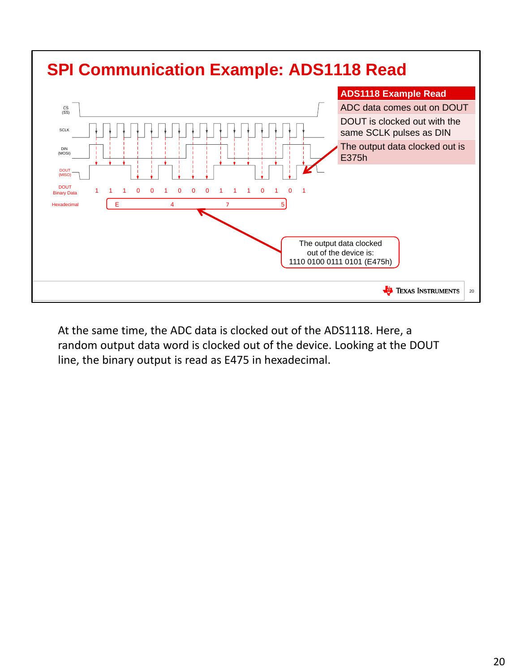

At the same time, the ADC data is clocked out of the ADS1118. Here, a random output data word is clocked out of the device. Looking at the DOUT line, the binary output is read as E475 in hexadecimal.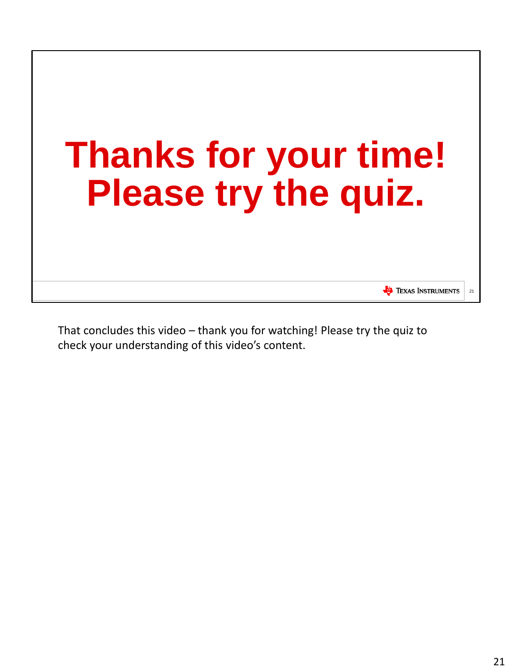

That concludes this video – thank you for watching! Please try the quiz to check your understanding of this video's content.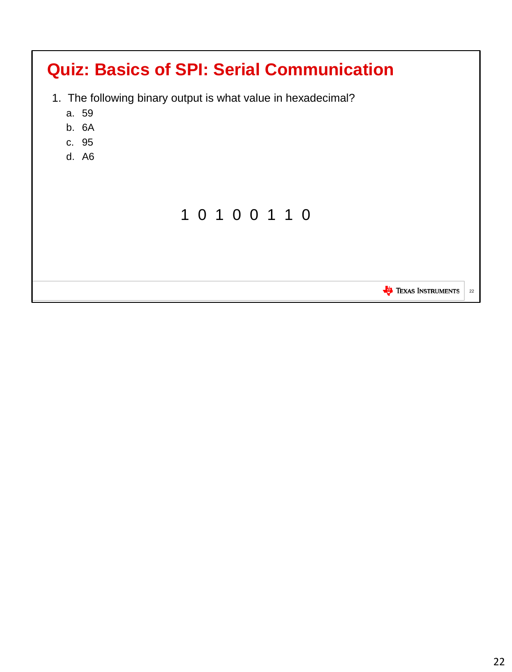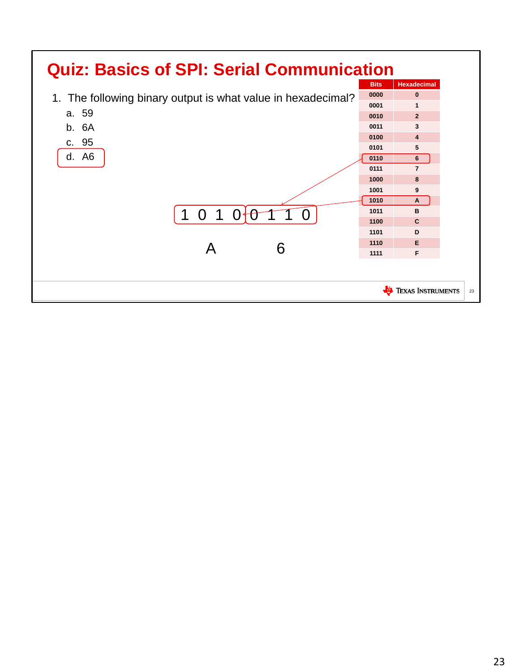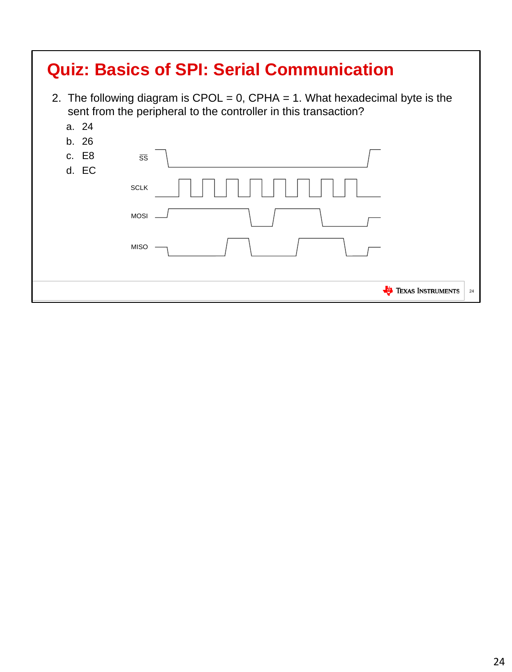| <b>Quiz: Basics of SPI: Serial Communication</b> |                                                                                                                                                 |                                |  |  |
|--------------------------------------------------|-------------------------------------------------------------------------------------------------------------------------------------------------|--------------------------------|--|--|
|                                                  | 2. The following diagram is CPOL = 0, CPHA = 1. What hexadecimal byte is the<br>sent from the peripheral to the controller in this transaction? |                                |  |  |
| a. 24                                            |                                                                                                                                                 |                                |  |  |
| b. 26                                            |                                                                                                                                                 |                                |  |  |
| c. E8<br>d. EC                                   | $\overline{\text{SS}}$                                                                                                                          |                                |  |  |
|                                                  | <b>SCLK</b>                                                                                                                                     |                                |  |  |
|                                                  | <b>MOSI</b>                                                                                                                                     |                                |  |  |
|                                                  | <b>MISO</b>                                                                                                                                     |                                |  |  |
|                                                  |                                                                                                                                                 |                                |  |  |
|                                                  |                                                                                                                                                 | <b>TEXAS INSTRUMENTS</b><br>24 |  |  |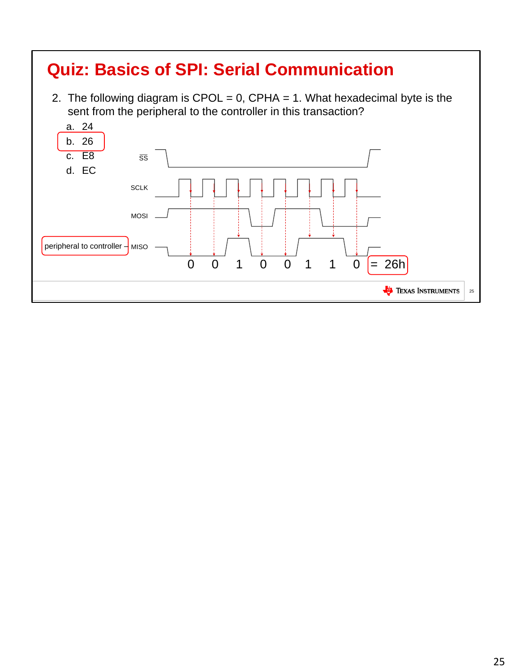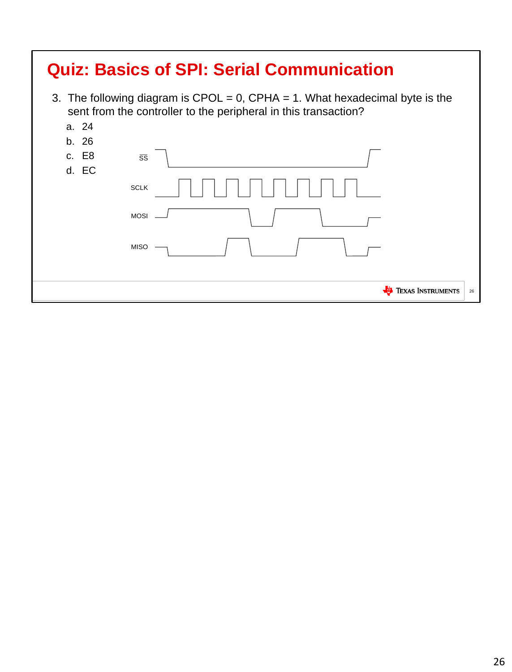| <b>Quiz: Basics of SPI: Serial Communication</b> |                                                                                                                                                    |                          |    |  |  |
|--------------------------------------------------|----------------------------------------------------------------------------------------------------------------------------------------------------|--------------------------|----|--|--|
|                                                  | 3. The following diagram is CPOL = $0$ , CPHA = 1. What hexadecimal byte is the<br>sent from the controller to the peripheral in this transaction? |                          |    |  |  |
| a. 24                                            |                                                                                                                                                    |                          |    |  |  |
| b. 26                                            |                                                                                                                                                    |                          |    |  |  |
| c. E8                                            | $\overline{\text{SS}}$                                                                                                                             |                          |    |  |  |
| d. EC                                            |                                                                                                                                                    |                          |    |  |  |
|                                                  | <b>SCLK</b>                                                                                                                                        |                          |    |  |  |
|                                                  | <b>MOSI</b>                                                                                                                                        |                          |    |  |  |
|                                                  | <b>MISO</b>                                                                                                                                        |                          |    |  |  |
|                                                  |                                                                                                                                                    |                          |    |  |  |
|                                                  |                                                                                                                                                    | <b>TEXAS INSTRUMENTS</b> | 26 |  |  |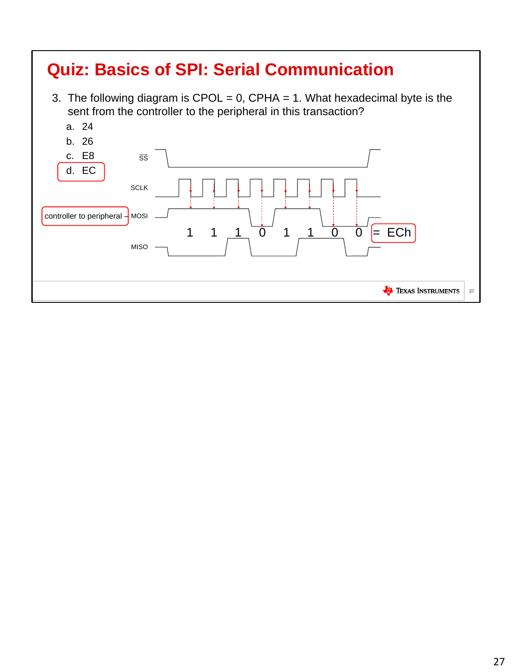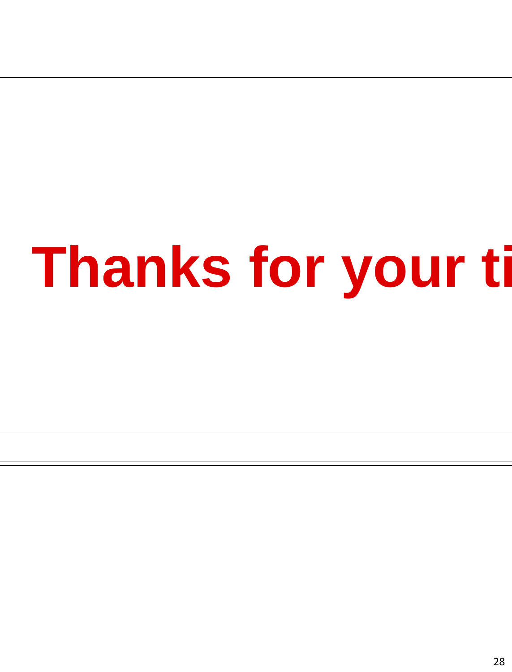## **Thanks for your ti**